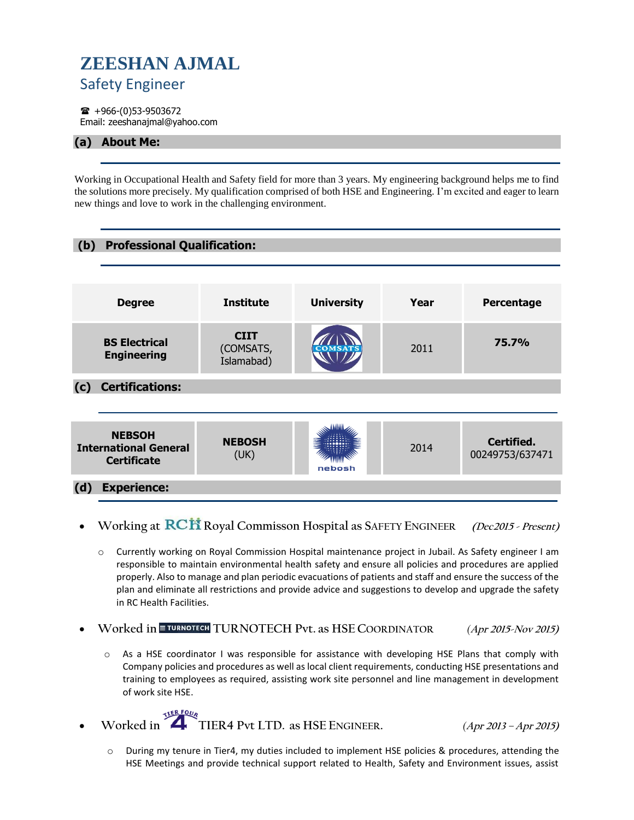## **ZEESHAN AJMAL** Safety Engineer

 $\bullet$  +966-(0)53-9503672 Email: zeeshanajmal@yahoo.com

## **(a) About Me:**

Working in Occupational Health and Safety field for more than 3 years. My engineering background helps me to find the solutions more precisely. My qualification comprised of both HSE and Engineering. I'm excited and eager to learn new things and love to work in the challenging environment.



- **Working at Royal Commisson Hospital as SAFETY ENGINEER (Dec2015 - Present)** 
	- o Currently working on Royal Commission Hospital maintenance project in Jubail. As Safety engineer I am responsible to maintain environmental health safety and ensure all policies and procedures are applied properly. Also to manage and plan periodic evacuations of patients and staff and ensure the success of the plan and eliminate all restrictions and provide advice and suggestions to develop and upgrade the safety in RC Health Facilities.
- **Worked in TURNOTECH Pvt. as HSE COORDINATOR** *(***Apr 2015-Nov 2015)**
	- o As a HSE coordinator I was responsible for assistance with developing HSE Plans that comply with Company policies and procedures as well as local client requirements, conducting HSE presentations and training to employees as required, assisting work site personnel and line management in development of work site HSE.
- **Worked in TIER4 Pvt LTD. as HSE ENGINEER.** *(***Apr 2013 – Apr 2015)**

o During my tenure in Tier4, my duties included to implement HSE policies & procedures, attending the HSE Meetings and provide technical support related to Health, Safety and Environment issues, assist